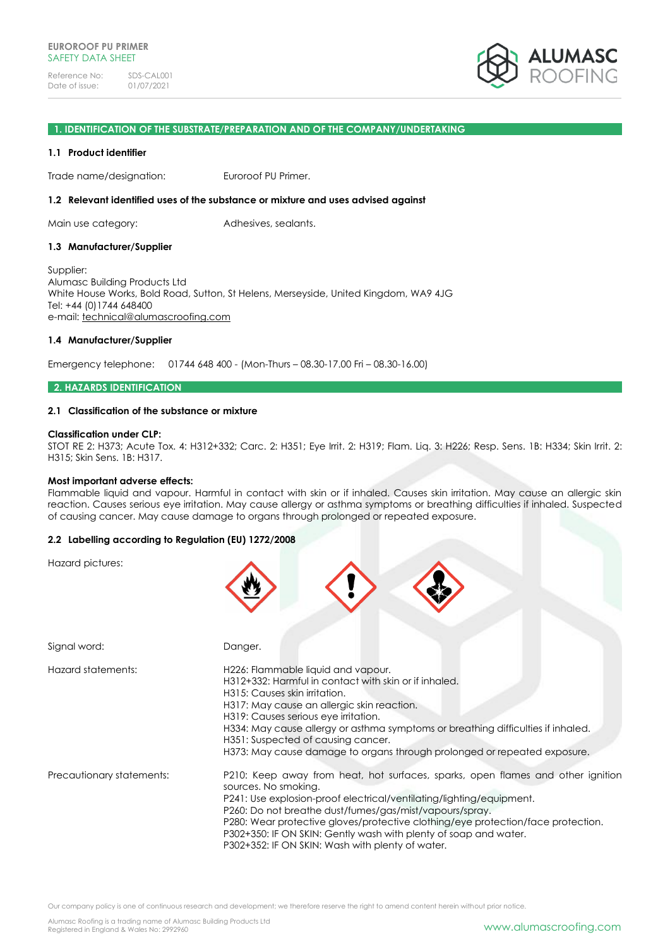

### **1. IDENTIFICATION OF THE SUBSTRATE/PREPARATION AND OF THE COMPANY/UNDERTAKING**

#### **1.1 Product identifier**

Trade name/designation: Euroroof PU Primer.

#### **1.2 Relevant identified uses of the substance or mixture and uses advised against**

Main use category: Adhesives, sealants.

### **1.3 Manufacturer/Supplier**

Supplier: Alumasc Building Products Ltd White House Works, Bold Road, Sutton, St Helens, Merseyside, United Kingdom, WA9 4JG Tel: +44 (0)1744 648400 e-mail: [technical@alumascroofing.com](mailto:technical@alumascroofing.com)

#### **1.4 Manufacturer/Supplier**

Emergency telephone: 01744 648 400 - (Mon-Thurs – 08.30-17.00 Fri – 08.30-16.00)

#### **2. HAZARDS IDENTIFICATION**

### **2.1 Classification of the substance or mixture**

#### **Classification under CLP:**

STOT RE 2: H373; Acute Tox. 4: H312+332; Carc. 2: H351; Eye Irrit. 2: H319; Flam. Liq. 3: H226; Resp. Sens. 1B: H334; Skin Irrit. 2: H315; Skin Sens. 1B: H317.

#### **Most important adverse effects:**

Flammable liquid and vapour. Harmful in contact with skin or if inhaled. Causes skin irritation. May cause an allergic skin reaction. Causes serious eye irritation. May cause allergy or asthma symptoms or breathing difficulties if inhaled. Suspected of causing cancer. May cause damage to organs through prolonged or repeated exposure.

### **2.2 Labelling according to Regulation (EU) 1272/2008**

Hazard pictures:

| Signal word:              | Danger.                                                                                                                                                                                                                                                                                                                                                                                                                                                |
|---------------------------|--------------------------------------------------------------------------------------------------------------------------------------------------------------------------------------------------------------------------------------------------------------------------------------------------------------------------------------------------------------------------------------------------------------------------------------------------------|
| Hazard statements:        | H226: Flammable liquid and vapour.<br>H312+332: Harmful in contact with skin or if inhaled.<br>H315: Causes skin irritation.<br>H317: May cause an allergic skin reaction.<br>H319: Causes serious eye irritation.<br>H334: May cause allergy or asthma symptoms or breathing difficulties if inhaled.<br>H351: Suspected of causing cancer.<br>H373: May cause damage to organs through prolonged or repeated exposure.                               |
| Precautionary statements: | P210: Keep away from heat, hot surfaces, sparks, open flames and other ignition<br>sources. No smoking.<br>P241: Use explosion-proof electrical/ventilating/lighting/equipment.<br>P260: Do not breathe dust/fumes/gas/mist/vapours/spray.<br>P280: Wear protective gloves/protective clothing/eye protection/face protection.<br>P302+350: IF ON SKIN: Gently wash with plenty of soap and water.<br>P302+352: IF ON SKIN: Wash with plenty of water. |

Our company policy is one of continuous research and development; we therefore reserve the right to amend content herein without prior notice.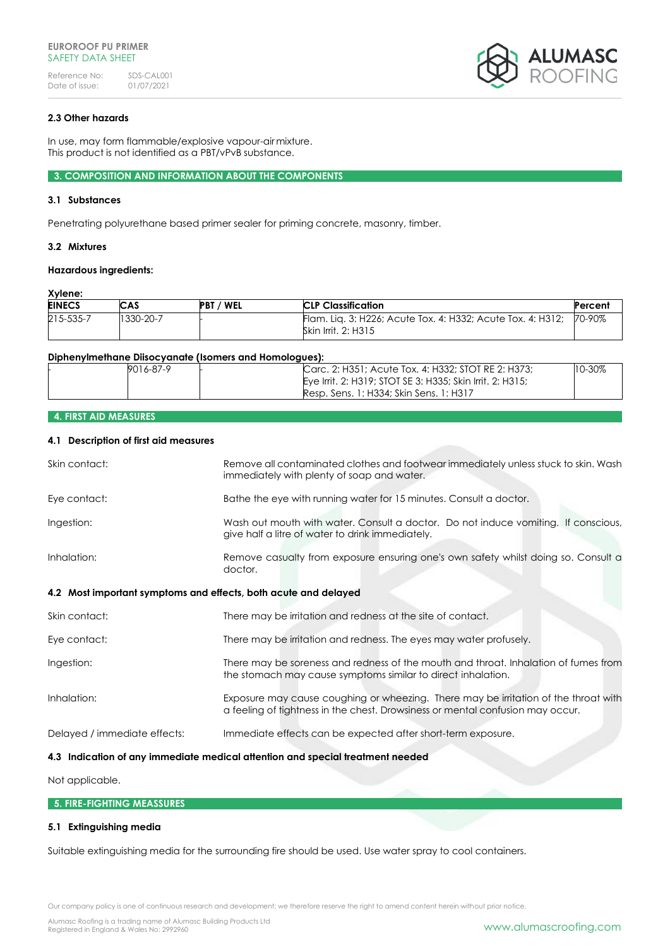

# **2.3 Other hazards**

In use, may form flammable/explosive vapour-airmixture. This product is not identified as a PBT/vPvB substance.

**3. COMPOSITION AND INFORMATION ABOUT THE COMPONENTS**

### **3.1 Substances**

Penetrating polyurethane based primer sealer for priming concrete, masonry, timber.

### **3.2 Mixtures**

### **Hazardous ingredients:**

# **Xylene:**

| <b>EINECS</b> | CAS       | / WEL<br><b>PBT</b> | <b>CLP Classification</b>                                                                 | Percent |
|---------------|-----------|---------------------|-------------------------------------------------------------------------------------------|---------|
| 215-535-7     | 1330-20-7 |                     | Flam. Liq. 3: H226; Acute Tox. 4: H332; Acute Tox. 4: H312;<br><b>Skin Irrit. 2: H315</b> | 70-90%  |

#### **Diphenylmethane Diisocyanate (Isomers and Homologues):**

| 9016-87-9 | Carc. 2: H351; Acute Tox. 4: H332; STOT RE 2: H373;       | $10 - 30\%$ |
|-----------|-----------------------------------------------------------|-------------|
|           | Eye Irrit, 2: H319; STOT SE 3: H335; Skin Irrit, 2: H315; |             |
|           | Resp. Sens. 1: H334: Skin Sens. 1: H317                   |             |

# **4. FIRST AID MEASURES**

# **4.1 Description of first aid measures**

| Skin contact:                                                   | Remove all contaminated clothes and footwear immediately unless stuck to skin. Wash<br>immediately with plenty of soap and water.                                     |
|-----------------------------------------------------------------|-----------------------------------------------------------------------------------------------------------------------------------------------------------------------|
| Eye contact:                                                    | Bathe the eye with running water for 15 minutes. Consult a doctor.                                                                                                    |
| Ingestion:                                                      | Wash out mouth with water. Consult a doctor. Do not induce vomiting. If conscious,<br>give half a litre of water to drink immediately.                                |
| Inhalation:                                                     | Remove casualty from exposure ensuring one's own safety whilst doing so. Consult a<br>doctor.                                                                         |
| 4.2 Most important symptoms and effects, both acute and delayed |                                                                                                                                                                       |
| Skin contact:                                                   | There may be irritation and redness at the site of contact.                                                                                                           |
| Eye contact:                                                    | There may be irritation and redness. The eyes may water profusely.                                                                                                    |
| Ingestion:                                                      | There may be soreness and redness of the mouth and throat. Inhalation of fumes from<br>the stomach may cause symptoms similar to direct inhalation.                   |
| Inhalation:                                                     | Exposure may cause coughing or wheezing. There may be irritation of the throat with<br>a feeling of tightness in the chest. Drowsiness or mental confusion may occur. |
| Delayed / immediate effects:                                    | Immediate effects can be expected after short-term exposure.                                                                                                          |
|                                                                 | 4.3 Indication of any immediate medical attention and special treatment needed                                                                                        |

# Not applicable.

### **5. FIRE-FIGHTING MEASSURES**

### **5.1 Extinguishing media**

Suitable extinguishing media for the surrounding fire should be used. Use water spray to cool containers.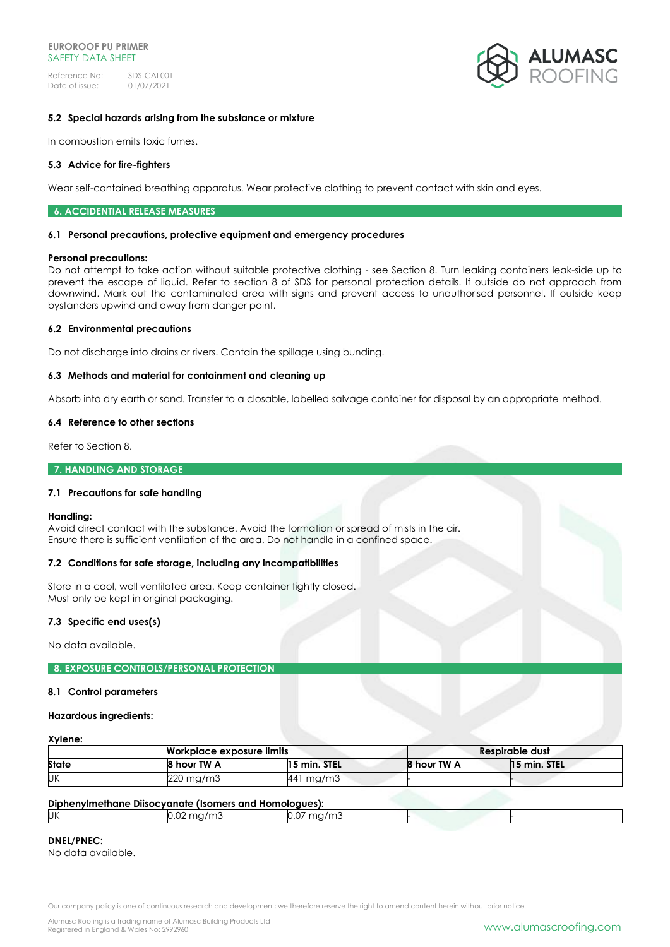

# **5.2 Special hazards arising from the substance or mixture**

In combustion emits toxic fumes.

### **5.3 Advice for fire-fighters**

Wear self-contained breathing apparatus. Wear protective clothing to prevent contact with skin and eyes.

#### **6. ACCIDENTIAL RELEASE MEASURES**

#### **6.1 Personal precautions, protective equipment and emergency procedures**

#### **Personal precautions:**

Do not attempt to take action without suitable protective clothing - see Section 8. Turn leaking containers leak-side up to prevent the escape of liquid. Refer to section 8 of SDS for personal protection details. If outside do not approach from downwind. Mark out the contaminated area with signs and prevent access to unauthorised personnel. If outside keep bystanders upwind and away from danger point.

### **6.2 Environmental precautions**

Do not discharge into drains or rivers. Contain the spillage using bunding.

### **6.3 Methods and material for containment and cleaning up**

Absorb into dry earth or sand. Transfer to a closable, labelled salvage container for disposal by an appropriate method.

#### **6.4 Reference to other sections**

Refer to Section 8.

### **7. HANDLING AND STORAGE**

### **7.1 Precautions for safe handling**

#### **Handling:**

Avoid direct contact with the substance. Avoid the formation or spread of mists in the air. Ensure there is sufficient ventilation of the area. Do not handle in a confined space.

### **7.2 Conditions for safe storage, including any incompatibilities**

Store in a cool, well ventilated area. Keep container tightly closed. Must only be kept in original packaging.

### **7.3 Specific end uses(s)**

No data available.

#### **8. EXPOSURE CONTROLS/PERSONAL PROTECTION**

#### **8.1 Control parameters**

#### **Hazardous ingredients:**

# **Xylene:**

| Workplace exposure limits |             |              |             | Respirable dust |
|---------------------------|-------------|--------------|-------------|-----------------|
| <b>State</b>              | 8 hour TW A | 15 min. STEL | 8 hour TW A | 15 min. STEL    |
| UΚ                        | 220 mg/m3   | 441 mg/m3    |             |                 |

### **Diphenylmethane Diisocyanate (Isomers and Homologues):**

|     | <u>upilentine bilocyandic nomicis and nomogees).</u> |                          |  |  |
|-----|------------------------------------------------------|--------------------------|--|--|
| IJΚ | J.UZ.                                                | ma,<br>∵⊓u/∏lu i<br>J.U* |  |  |
|     |                                                      |                          |  |  |

### **DNEL/PNEC:**

No data available.

Our company policy is one of continuous research and development; we therefore reserve the right to amend content herein without prior notice.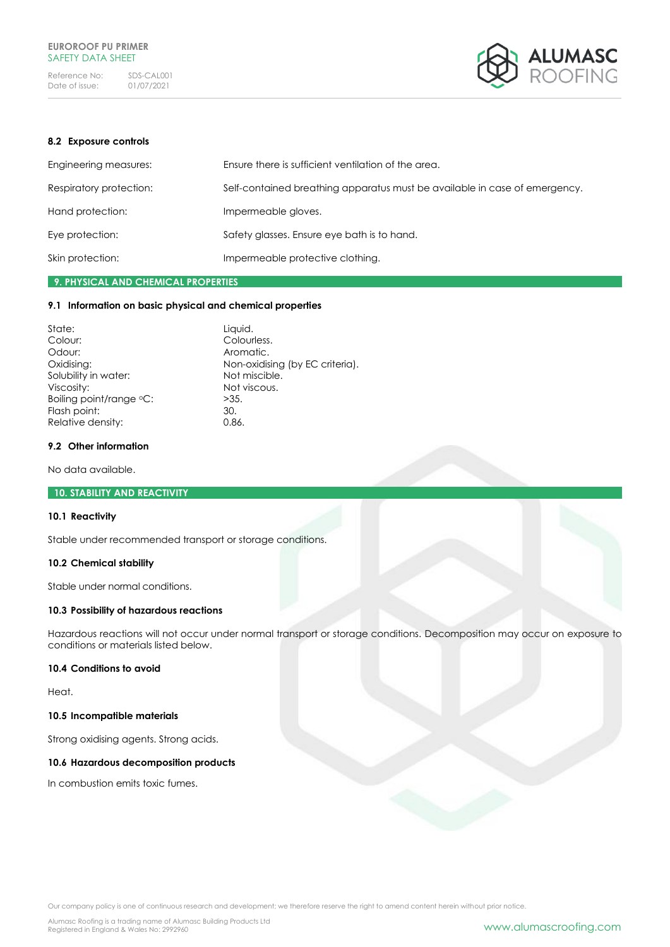

## **8.2 Exposure controls**

| Engineering measures:   | Ensure there is sufficient ventilation of the area.                        |
|-------------------------|----------------------------------------------------------------------------|
| Respiratory protection: | Self-contained breathing apparatus must be available in case of emergency. |
| Hand protection:        | Impermeable gloves.                                                        |
| Eye protection:         | Safety glasses. Ensure eye bath is to hand.                                |
| Skin protection:        | Impermeable protective clothing.                                           |

# **9. PHYSICAL AND CHEMICAL PROPERTIES**

### **9.1 Information on basic physical and chemical properties**

| State:                  | Liquid.                         |
|-------------------------|---------------------------------|
| Colour:                 | Colourless.                     |
| Odour:                  | Aromatic.                       |
| Oxidising:              | Non-oxidising (by EC criteria). |
| Solubility in water:    | Not miscible.                   |
| Viscosity:              | Not viscous.                    |
| Boiling point/range °C: | >35.                            |
| Flash point:            | 30.                             |
| Relative density:       | 0.86.                           |

### **9.2 Other information**

No data available.

# **10. STABILITY AND REACTIVITY**

# **10.1 Reactivity**

Stable under recommended transport or storage conditions.

# **10.2 Chemical stability**

Stable under normal conditions.

# **10.3 Possibility of hazardous reactions**

Hazardous reactions will not occur under normal transport or storage conditions. Decomposition may occur on exposure to conditions or materials listed below.

### **10.4 Conditions to avoid**

Heat.

### **10.5 Incompatible materials**

Strong oxidising agents. Strong acids.

### **10.6 Hazardous decomposition products**

In combustion emits toxic fumes.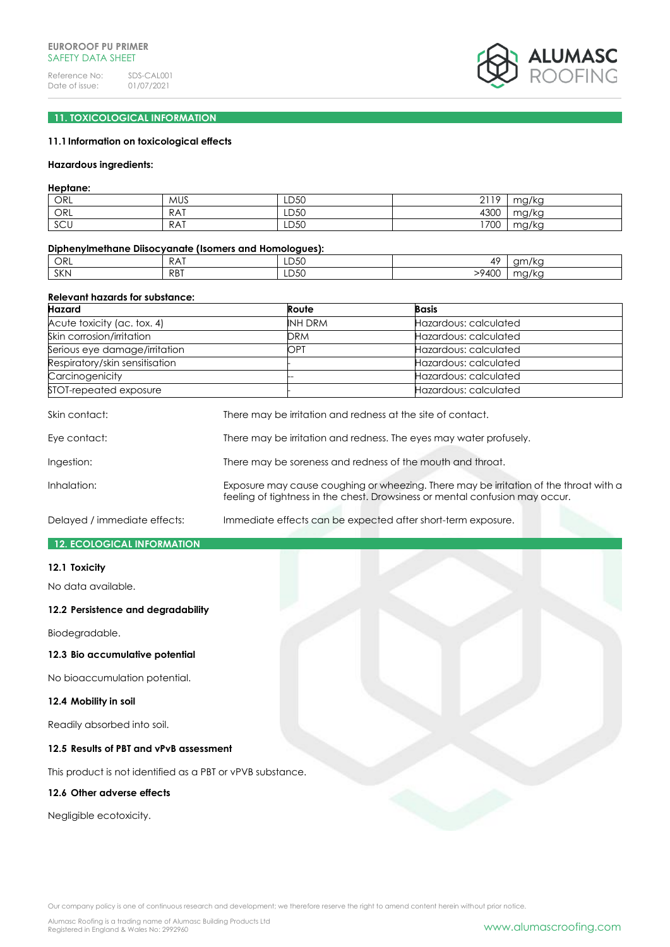

# **11. TOXICOLOGICAL INFORMATION**

### **11.1Information on toxicological effects**

#### **Hazardous ingredients:**

### **Heptane:**

| ORL | <b>MUS</b> | LD50 | 2110<br>∸ | mg/kg |
|-----|------------|------|-----------|-------|
| ORL | <b>RAT</b> | LD50 | 4300      | mg/kg |
| SCU | RAT        | LD50 | 1700      | ma/ka |

#### **Diphenylmethane Diisocyanate (Isomers and Homologues):**

| ORL        | <b>P</b> ∆1<br>NA. | LD50 | ΔC           | am/kc                             |
|------------|--------------------|------|--------------|-----------------------------------|
| <b>SKN</b> | <b>RBT</b>         | LD50 | >9A0C<br>+UL | $\sim$ $\sim$ / $\sim$<br>197 N.C |

#### **Relevant hazards for substance:**

| Hazard                         | Route          | <b>Basis</b>          |
|--------------------------------|----------------|-----------------------|
| Acute toxicity (ac. tox. 4)    | <b>INH DRM</b> | Hazardous: calculated |
| Skin corrosion/irritation      | DRM            | Hazardous: calculated |
| Serious eye damage/irritation  | OPT            | Hazardous: calculated |
| Respiratory/skin sensitisation |                | Hazardous: calculated |
| Carcinogenicity                |                | Hazardous: calculated |
| STOT-repeated exposure         |                | Hazardous: calculated |

| Skin contact: | There may be irritation and redness at the site of contact.                                                                                                           |
|---------------|-----------------------------------------------------------------------------------------------------------------------------------------------------------------------|
| Eye contact:  | There may be irritation and redness. The eyes may water profusely.                                                                                                    |
| Ingestion:    | There may be soreness and redness of the mouth and throat.                                                                                                            |
| Inhalation:   | Exposure may cause coughing or wheezing. There may be irritation of the throat with a<br>feeling of tightness in the chest. Drowsiness or mental confusion may occur. |

Delayed / immediate effects: Immediate effects can be expected after short-term exposure.

### **12. ECOLOGICAL INFORMATION**

#### **12.1 Toxicity**

No data available.

# **12.2 Persistence and degradability**

Biodegradable.

# **12.3 Bio accumulative potential**

No bioaccumulation potential.

### **12.4 Mobility in soil**

Readily absorbed into soil.

# **12.5 Results of PBT and vPvB assessment**

This product is not identified as a PBT or vPVB substance.

# **12.6 Other adverse effects**

Negligible ecotoxicity.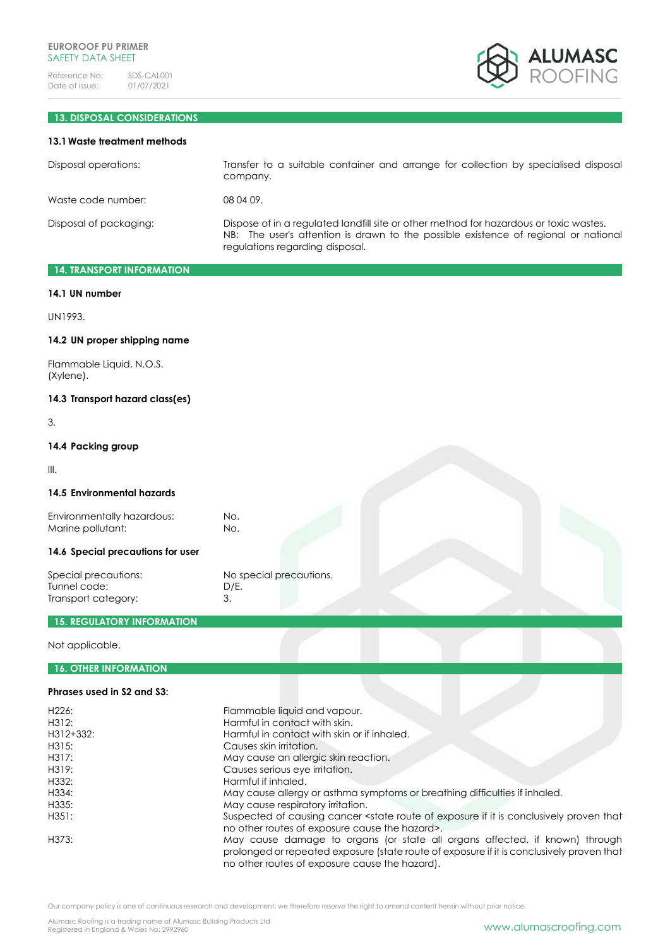

# **13. DISPOSAL CONSIDERATIONS**

### **13.1Waste treatment methods**

| Disposal operations:   | Transfer to a suitable container and arrange for collection by specialised disposal<br>company.                                                                                                                  |
|------------------------|------------------------------------------------------------------------------------------------------------------------------------------------------------------------------------------------------------------|
| Waste code number:     | 08 04 09.                                                                                                                                                                                                        |
| Disposal of packaging: | Dispose of in a regulated landfill site or other method for hazardous or toxic wastes.<br>NB: The user's attention is drawn to the possible existence of regional or national<br>regulations regarding disposal. |

# **14. TRANSPORT INFORMATION**

#### **14.1 UN number**

UN1993.

### **14.2 UN proper shipping name**

Flammable Liquid, N.O.S. (Xylene).

# **14.3 Transport hazard class(es)**

3.

# **14.4 Packing group**

III.

### **14.5 Environmental hazards**

Environmentally hazardous: No.<br>
Marine pollutant: No. Marine pollutant:

# **14.6 Special precautions for user**

Special precautions: No special precautions. Tunnel code: D/E. Transport category: 3.

# **15. REGULATORY INFORMATION**

Not applicable.

# **16. OTHER INFORMATION**

# **Phrases used in S2 and S3:**

| H <sub>226</sub> : | Flammable liquid and vapour.                                                                                                                                                                                               |
|--------------------|----------------------------------------------------------------------------------------------------------------------------------------------------------------------------------------------------------------------------|
| H312:              | Harmful in contact with skin.                                                                                                                                                                                              |
| H312+332:          | Harmful in contact with skin or if inhaled.                                                                                                                                                                                |
| H315:              | Causes skin irritation.                                                                                                                                                                                                    |
| H317:              | May cause an allergic skin reaction.                                                                                                                                                                                       |
| H319:              | Causes serious eye irritation.                                                                                                                                                                                             |
| H332:              | Harmful if inhaled.                                                                                                                                                                                                        |
| H334:              | May cause allergy or asthma symptoms or breathing difficulties if inhaled.                                                                                                                                                 |
| H335:              | May cause respiratory irritation.                                                                                                                                                                                          |
| H351:              | Suspected of causing cancer <state conclusively="" exposure="" if="" is="" it="" of="" proven="" route="" that<br="">no other routes of exposure cause the hazard&gt;.</state>                                             |
| H373:              | May cause damage to organs (or state all organs affected, if known) through<br>prolonged or repeated exposure (state route of exposure if it is conclusively proven that<br>no other routes of exposure cause the hazard). |

Our company policy is one of continuous research and development; we therefore reserve the right to amend content herein without prior notice.

Alumasc Roofing is a trading name of Alumasc Building Products Ltd